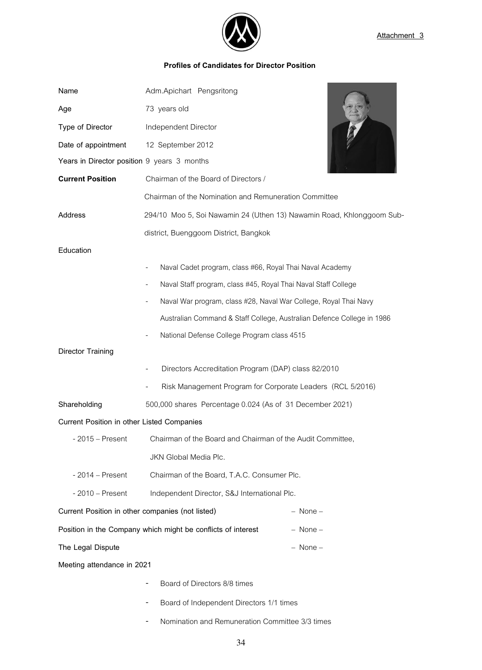

## **Profiles of Candidates for Director Position**

| Name                                                                         | Adm.Apichart Pengsritong                                               |              |
|------------------------------------------------------------------------------|------------------------------------------------------------------------|--------------|
| Age                                                                          | 73 years old                                                           |              |
| Type of Director                                                             | Independent Director                                                   |              |
| Date of appointment                                                          | 12 September 2012                                                      |              |
| Years in Director position 9 years 3 months                                  |                                                                        |              |
| <b>Current Position</b>                                                      | Chairman of the Board of Directors /                                   |              |
|                                                                              | Chairman of the Nomination and Remuneration Committee                  |              |
| Address                                                                      | 294/10 Moo 5, Soi Nawamin 24 (Uthen 13) Nawamin Road, Khlonggoom Sub-  |              |
|                                                                              | district, Buenggoom District, Bangkok                                  |              |
| Education                                                                    |                                                                        |              |
|                                                                              | Naval Cadet program, class #66, Royal Thai Naval Academy               |              |
|                                                                              | Naval Staff program, class #45, Royal Thai Naval Staff College         |              |
|                                                                              | Naval War program, class #28, Naval War College, Royal Thai Navy       |              |
|                                                                              | Australian Command & Staff College, Australian Defence College in 1986 |              |
|                                                                              | National Defense College Program class 4515                            |              |
| Director Training                                                            |                                                                        |              |
|                                                                              | Directors Accreditation Program (DAP) class 82/2010                    |              |
|                                                                              | Risk Management Program for Corporate Leaders (RCL 5/2016)             |              |
| Shareholding                                                                 | 500,000 shares Percentage 0.024 (As of 31 December 2021)               |              |
| Current Position in other Listed Companies                                   |                                                                        |              |
| $-2015 -$ Present                                                            | Chairman of the Board and Chairman of the Audit Committee,             |              |
|                                                                              | JKN Global Media Plc.                                                  |              |
| $-2014 - Present$                                                            | Chairman of the Board, T.A.C. Consumer Plc.                            |              |
| $-2010$ – Present                                                            | Independent Director, S&J International Plc.                           |              |
| Current Position in other companies (not listed)<br>– None –                 |                                                                        |              |
| Position in the Company which might be conflicts of interest<br>$-$ None $-$ |                                                                        |              |
| The Legal Dispute                                                            |                                                                        | $-$ None $-$ |
| Meeting attendance in 2021                                                   |                                                                        |              |
|                                                                              | Board of Directors 8/8 times                                           |              |
|                                                                              | Board of Independent Directors 1/1 times                               |              |

- Nomination and Remuneration Committee 3/3 times